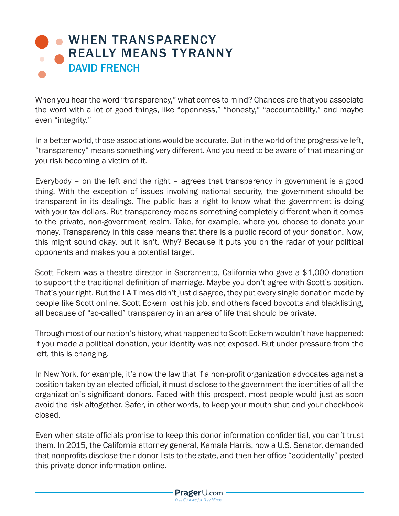## **. WHEN TRANSPARENCY** [REALLY MEANS TYRANNY](https://www.prageru.com/courses/political-science/when-transparency-really-means-tyranny) DAVID FRENCH

When you hear the word "transparency," what comes to mind? Chances are that you associate the word with a lot of good things, like "openness," "honesty," "accountability," and maybe even "integrity."

In a better world, those associations would be accurate. But in the world of the progressive left, "transparency" means something very different. And you need to be aware of that meaning or you risk becoming a victim of it.

Everybody – on the left and the right – agrees that transparency in government is a good thing. With the exception of issues involving national security, the government should be transparent in its dealings. The public has a right to know what the government is doing with your tax dollars. But transparency means something completely different when it comes to the private, non-government realm. Take, for example, where you choose to donate your money. Transparency in this case means that there is a public record of your donation. Now, this might sound okay, but it isn't. Why? Because it puts you on the radar of your political opponents and makes you a potential target.

Scott Eckern was a theatre director in Sacramento, California who gave a \$1,000 donation to support the traditional definition of marriage. Maybe you don't agree with Scott's position. That's your right. But the LA Times didn't just disagree, they put every single donation made by people like Scott online. Scott Eckern lost his job, and others faced boycotts and blacklisting, all because of "so-called" transparency in an area of life that should be private.

Through most of our nation's history, what happened to Scott Eckern wouldn't have happened: if you made a political donation, your identity was not exposed. But under pressure from the left, this is changing.

In New York, for example, it's now the law that if a non-profit organization advocates against a position taken by an elected official, it must disclose to the government the identities of all the organization's significant donors. Faced with this prospect, most people would just as soon avoid the risk altogether. Safer, in other words, to keep your mouth shut and your checkbook closed.

Even when state officials promise to keep this donor information confidential, you can't trust them. In 2015, the California attorney general, Kamala Harris, now a U.S. Senator, demanded that nonprofits disclose their donor lists to the state, and then her office "accidentally" posted this private donor information online.